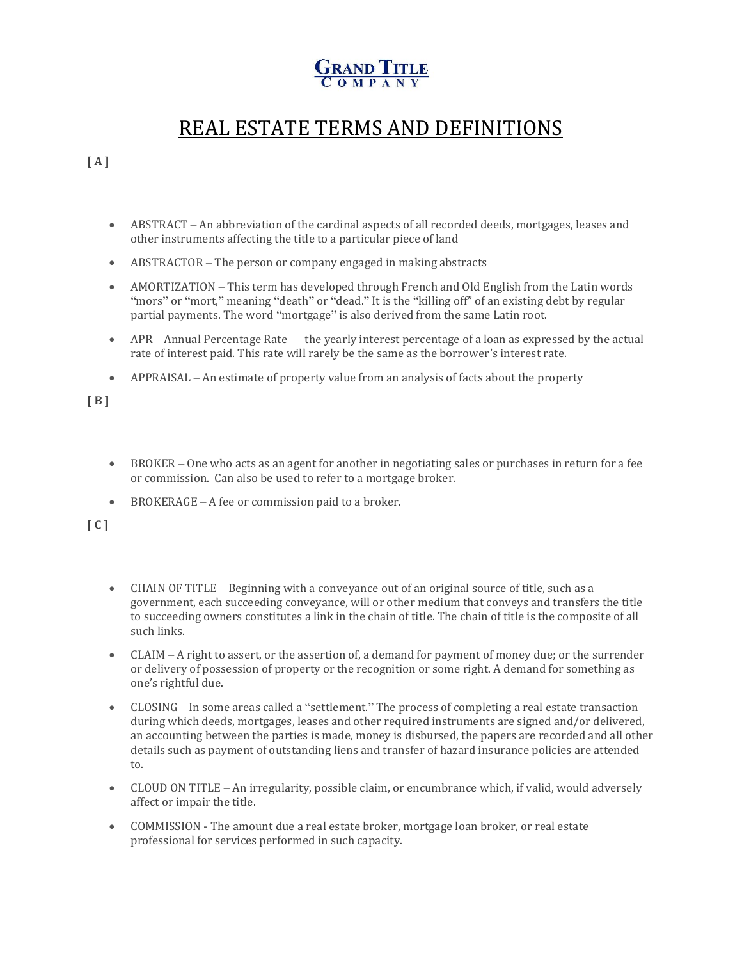## REAL ESTATE TERMS AND DEFINITIONS

**[ A ]**

- ABSTRACT An abbreviation of the cardinal aspects of all recorded deeds, mortgages, leases and other instruments affecting the title to a particular piece of land
- ABSTRACTOR The person or company engaged in making abstracts
- AMORTIZATION This term has developed through French and Old English from the Latin words "mors" or "mort," meaning "death" or "dead." It is the "killing off" of an existing debt by regular partial payments. The word "mortgage" is also derived from the same Latin root.
- APR Annual Percentage Rate the yearly interest percentage of a loan as expressed by the actual rate of interest paid. This rate will rarely be the same as the borrower's interest rate.
- APPRAISAL An estimate of property value from an analysis of facts about the property

**[ B ]**

- BROKER One who acts as an agent for another in negotiating sales or purchases in return for a fee or commission. Can also be used to refer to a mortgage broker.
- BROKERAGE A fee or commission paid to a broker.

**[ C ]**

- CHAIN OF TITLE Beginning with a conveyance out of an original source of title, such as a government, each succeeding conveyance, will or other medium that conveys and transfers the title to succeeding owners constitutes a link in the chain of title. The chain of title is the composite of all such links.
- $CLAIM A$  right to assert, or the assertion of, a demand for payment of money due; or the surrender or delivery of possession of property or the recognition or some right. A demand for something as one's rightful due.
- CLOSING In some areas called a "settlement." The process of completing a real estate transaction during which deeds, mortgages, leases and other required instruments are signed and/or delivered, an accounting between the parties is made, money is disbursed, the papers are recorded and all other details such as payment of outstanding liens and transfer of hazard insurance policies are attended to.
- CLOUD ON TITLE An irregularity, possible claim, or encumbrance which, if valid, would adversely affect or impair the title.
- COMMISSION The amount due a real estate broker, mortgage loan broker, or real estate professional for services performed in such capacity.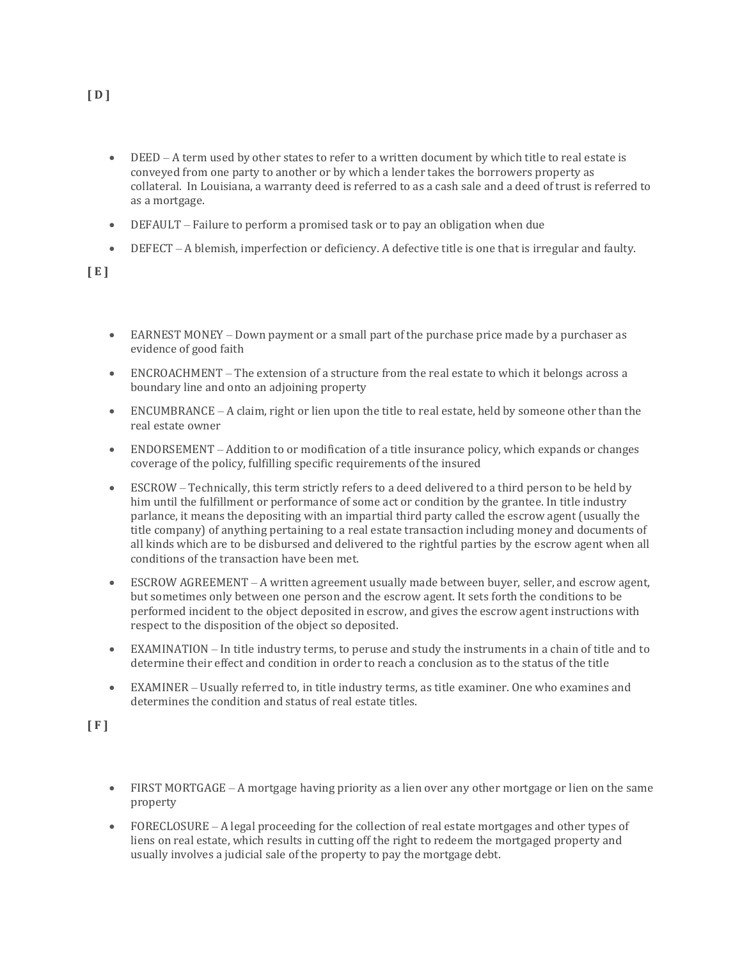- DEED A term used by other states to refer to a written document by which title to real estate is conveyed from one party to another or by which a lender takes the borrowers property as collateral. In Louisiana, a warranty deed is referred to as a cash sale and a deed of trust is referred to as a mortgage.
- DEFAULT Failure to perform a promised task or to pay an obligation when due
- DEFECT A blemish, imperfection or deficiency. A defective title is one that is irregular and faulty.

**[ E ]**

- EARNEST MONEY Down payment or a small part of the purchase price made by a purchaser as evidence of good faith
- ENCROACHMENT The extension of a structure from the real estate to which it belongs across a boundary line and onto an adjoining property
- ENCUMBRANCE A claim, right or lien upon the title to real estate, held by someone other than the real estate owner
- ENDORSEMENT Addition to or modification of a title insurance policy, which expands or changes coverage of the policy, fulfilling specific requirements of the insured
- ESCROW Technically, this term strictly refers to a deed delivered to a third person to be held by him until the fulfillment or performance of some act or condition by the grantee. In title industry parlance, it means the depositing with an impartial third party called the escrow agent (usually the title company) of anything pertaining to a real estate transaction including money and documents of all kinds which are to be disbursed and delivered to the rightful parties by the escrow agent when all conditions of the transaction have been met.
- ESCROW AGREEMENT A written agreement usually made between buyer, seller, and escrow agent, but sometimes only between one person and the escrow agent. It sets forth the conditions to be performed incident to the object deposited in escrow, and gives the escrow agent instructions with respect to the disposition of the object so deposited.
- EXAMINATION In title industry terms, to peruse and study the instruments in a chain of title and to determine their effect and condition in order to reach a conclusion as to the status of the title
- EXAMINER Usually referred to, in title industry terms, as title examiner. One who examines and determines the condition and status of real estate titles.

**[ F ]**

- FIRST MORTGAGE A mortgage having priority as a lien over any other mortgage or lien on the same property
- FORECLOSURE A legal proceeding for the collection of real estate mortgages and other types of liens on real estate, which results in cutting off the right to redeem the mortgaged property and usually involves a judicial sale of the property to pay the mortgage debt.

**[ D ]**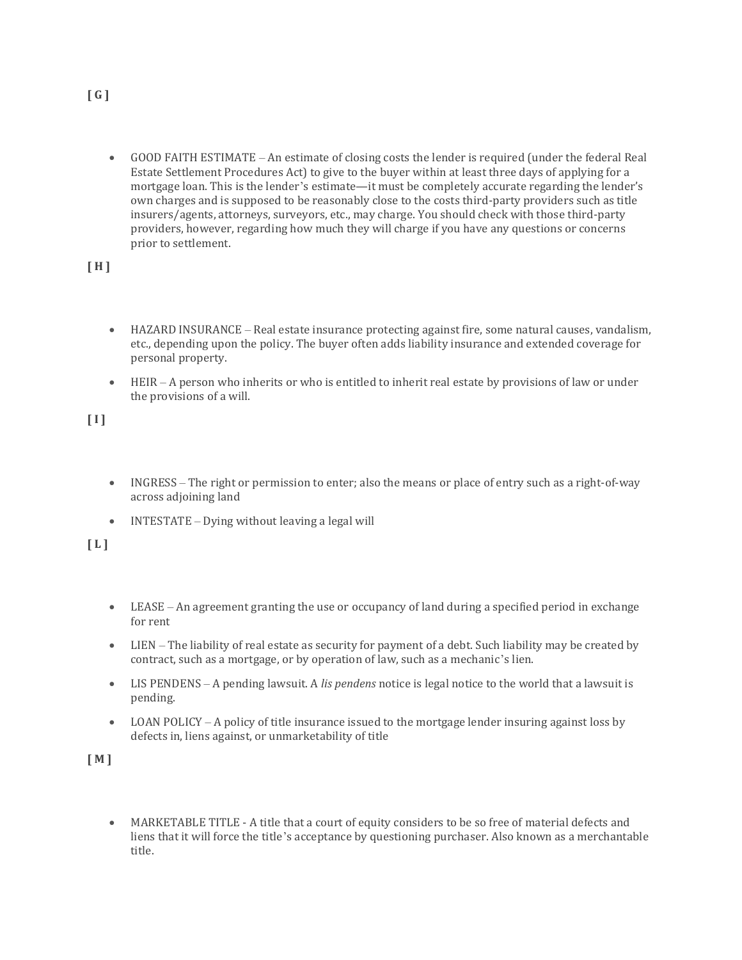• GOOD FAITH ESTIMATE – An estimate of closing costs the lender is required (under the federal Real Estate Settlement Procedures Act) to give to the buyer within at least three days of applying for a mortgage loan. This is the lender's estimate—it must be completely accurate regarding the lender's own charges and is supposed to be reasonably close to the costs third-party providers such as title insurers/agents, attorneys, surveyors, etc., may charge. You should check with those third-party providers, however, regarding how much they will charge if you have any questions or concerns prior to settlement.

**[ H ]**

- HAZARD INSURANCE Real estate insurance protecting against fire, some natural causes, vandalism, etc., depending upon the policy. The buyer often adds liability insurance and extended coverage for personal property.
- HEIR A person who inherits or who is entitled to inherit real estate by provisions of law or under the provisions of a will.

**[ I ]**

- INGRESS The right or permission to enter; also the means or place of entry such as a right-of-way across adjoining land
- INTESTATE Dying without leaving a legal will

**[ L ]**

- LEASE An agreement granting the use or occupancy of land during a specified period in exchange for rent
- LIEN The liability of real estate as security for payment of a debt. Such liability may be created by contract, such as a mortgage, or by operation of law, such as a mechanic's lien.
- LIS PENDENS A pending lawsuit. A *lis pendens* notice is legal notice to the world that a lawsuit is pending.
- LOAN POLICY A policy of title insurance issued to the mortgage lender insuring against loss by defects in, liens against, or unmarketability of title

**[ M ]**

• MARKETABLE TITLE - A title that a court of equity considers to be so free of material defects and liens that it will force the title's acceptance by questioning purchaser. Also known as a merchantable title.

**[ G ]**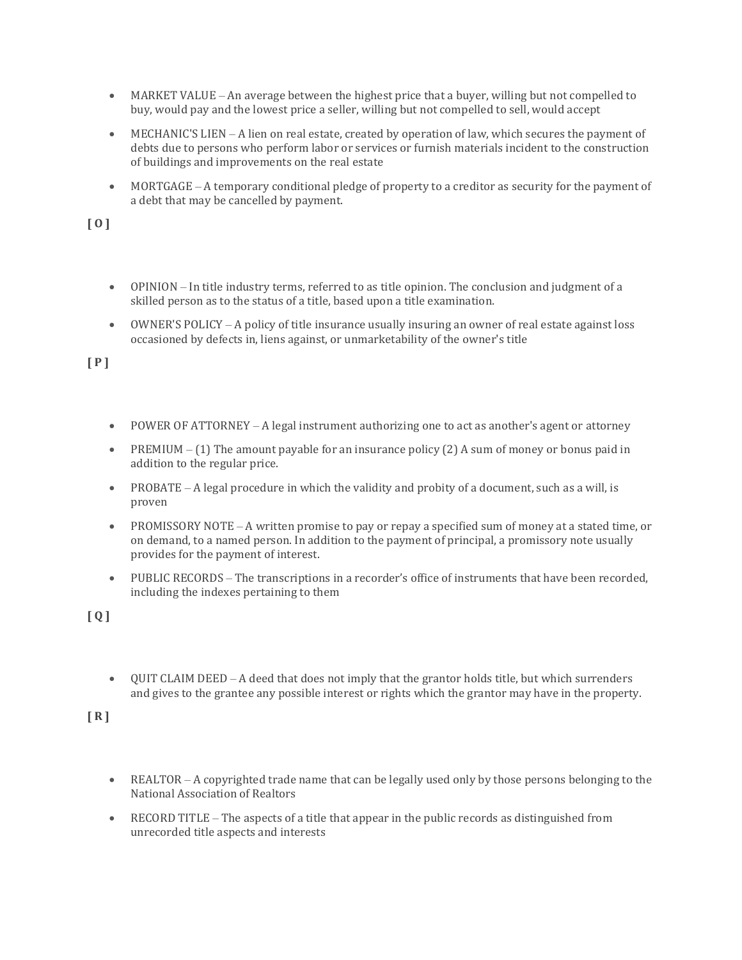- MARKET VALUE An average between the highest price that a buyer, willing but not compelled to buy, would pay and the lowest price a seller, willing but not compelled to sell, would accept
- MECHANIC'S LIEN A lien on real estate, created by operation of law, which secures the payment of debts due to persons who perform labor or services or furnish materials incident to the construction of buildings and improvements on the real estate
- MORTGAGE A temporary conditional pledge of property to a creditor as security for the payment of a debt that may be cancelled by payment.

**[ O ]**

- OPINION In title industry terms, referred to as title opinion. The conclusion and judgment of a skilled person as to the status of a title, based upon a title examination.
- OWNER'S POLICY A policy of title insurance usually insuring an owner of real estate against loss occasioned by defects in, liens against, or unmarketability of the owner's title

**[ P ]**

- POWER OF ATTORNEY A legal instrument authorizing one to act as another's agent or attorney
- PREMIUM  $(1)$  The amount payable for an insurance policy (2) A sum of money or bonus paid in addition to the regular price.
- PROBATE A legal procedure in which the validity and probity of a document, such as a will, is proven
- PROMISSORY NOTE A written promise to pay or repay a specified sum of money at a stated time, or on demand, to a named person. In addition to the payment of principal, a promissory note usually provides for the payment of interest.
- PUBLIC RECORDS The transcriptions in a recorder's office of instruments that have been recorded, including the indexes pertaining to them

**[ Q ]**

• QUIT CLAIM DEED – A deed that does not imply that the grantor holds title, but which surrenders and gives to the grantee any possible interest or rights which the grantor may have in the property.

**[ R ]**

- REALTOR A copyrighted trade name that can be legally used only by those persons belonging to the National Association of Realtors
- RECORD TITLE The aspects of a title that appear in the public records as distinguished from unrecorded title aspects and interests